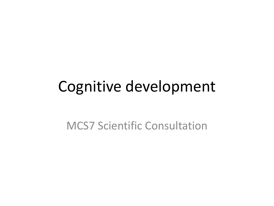# Cognitive development

MCS7 Scientific Consultation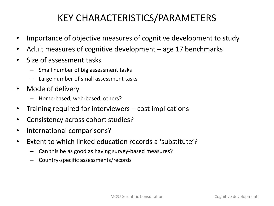## KEY CHARACTERISTICS/PARAMETERS

- Importance of objective measures of cognitive development to study
- Adult measures of cognitive development age 17 benchmarks
- Size of assessment tasks
	- Small number of big assessment tasks
	- Large number of small assessment tasks
- Mode of delivery
	- Home-based, web-based, others?
- Training required for interviewers cost implications
- Consistency across cohort studies?
- International comparisons?
- Extent to which linked education records a 'substitute'?
	- Can this be as good as having survey-based measures?
	- Country-specific assessments/records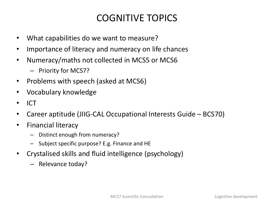## COGNITIVE TOPICS

- What capabilities do we want to measure?
- Importance of literacy and numeracy on life chances
- Numeracy/maths not collected in MCS5 or MCS6
	- Priority for MCS7?
- Problems with speech (asked at MCS6)
- Vocabulary knowledge
- ICT
- Career aptitude (JIIG-CAL Occupational Interests Guide BCS70)
- Financial literacy
	- Distinct enough from numeracy?
	- Subject specific purpose? E.g. Finance and HE
- Crystalised skills and fluid intelligence (psychology)
	- Relevance today?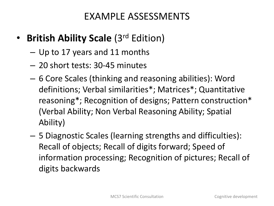#### EXAMPLE ASSESSMENTS

- **British Ability Scale** (3rd Edition)
	- Up to 17 years and 11 months
	- 20 short tests: 30-45 minutes
	- 6 Core Scales (thinking and reasoning abilities): Word definitions; Verbal similarities\*; Matrices\*; Quantitative reasoning\*; Recognition of designs; Pattern construction\* (Verbal Ability; Non Verbal Reasoning Ability; Spatial Ability)
	- 5 Diagnostic Scales (learning strengths and difficulties): Recall of objects; Recall of digits forward; Speed of information processing; Recognition of pictures; Recall of digits backwards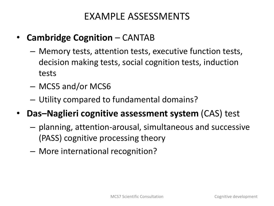#### EXAMPLE ASSESSMENTS

- **Cambridge Cognition**  CANTAB
	- Memory tests, attention tests, executive function tests, decision making tests, social cognition tests, induction tests
	- MCS5 and/or MCS6
	- Utility compared to fundamental domains?
- **Das–Naglieri cognitive assessment system** (CAS) test
	- planning, attention-arousal, simultaneous and successive (PASS) cognitive processing theory
	- More international recognition?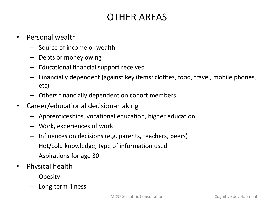## OTHER AREAS

- Personal wealth
	- Source of income or wealth
	- Debts or money owing
	- Educational financial support received
	- Financially dependent (against key items: clothes, food, travel, mobile phones, etc)
	- Others financially dependent on cohort members
- Career/educational decision-making
	- Apprenticeships, vocational education, higher education
	- Work, experiences of work
	- Influences on decisions (e.g. parents, teachers, peers)
	- Hot/cold knowledge, type of information used
	- Aspirations for age 30
- Physical health
	- Obesity
	- Long-term illness